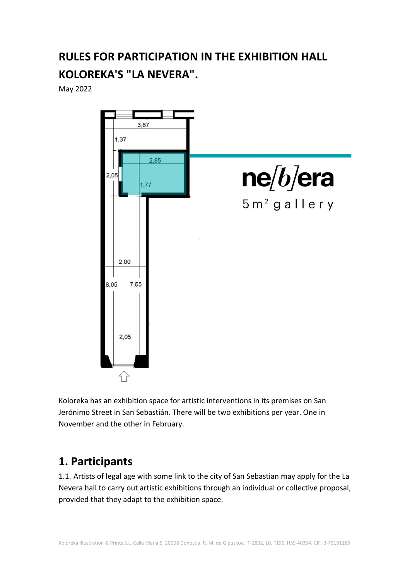# **RULES FOR PARTICIPATION IN THE EXHIBITION HALL KOLOREKA'S "LA NEVERA".**

May 2022



Koloreka has an exhibition space for artistic interventions in its premises on San Jerónimo Street in San Sebastián. There will be two exhibitions per year. One in November and the other in February.

## **1. Participants**

1.1. Artists of legal age with some link to the city of San Sebastian may apply for the La Nevera hall to carry out artistic exhibitions through an individual or collective proposal, provided that they adapt to the exhibition space.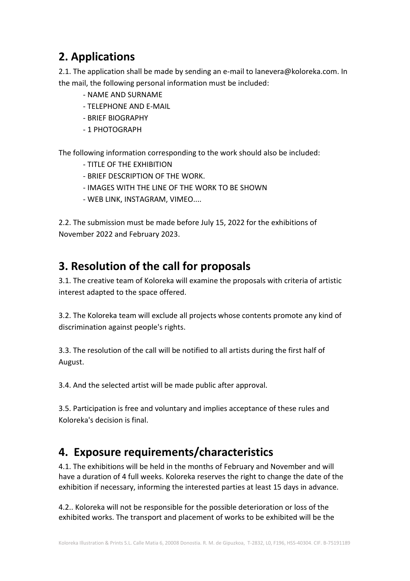## **2. Applications**

2.1. The application shall be made by sending an e-mail to lanevera@koloreka.com. In the mail, the following personal information must be included:

- NAME AND SURNAME
- TELEPHONE AND E-MAIL
- BRIEF BIOGRAPHY
- 1 PHOTOGRAPH

The following information corresponding to the work should also be included:

- TITLE OF THE EXHIBITION
- BRIEF DESCRIPTION OF THE WORK.
- IMAGES WITH THE LINE OF THE WORK TO BE SHOWN
- WEB LINK, INSTAGRAM, VIMEO....

2.2. The submission must be made before July 15, 2022 for the exhibitions of November 2022 and February 2023.

## **3. Resolution of the call for proposals**

3.1. The creative team of Koloreka will examine the proposals with criteria of artistic interest adapted to the space offered.

3.2. The Koloreka team will exclude all projects whose contents promote any kind of discrimination against people's rights.

3.3. The resolution of the call will be notified to all artists during the first half of August.

3.4. And the selected artist will be made public after approval.

3.5. Participation is free and voluntary and implies acceptance of these rules and Koloreka's decision is final.

## **4. Exposure requirements/characteristics**

4.1. The exhibitions will be held in the months of February and November and will have a duration of 4 full weeks. Koloreka reserves the right to change the date of the exhibition if necessary, informing the interested parties at least 15 days in advance.

4.2.. Koloreka will not be responsible for the possible deterioration or loss of the exhibited works. The transport and placement of works to be exhibited will be the